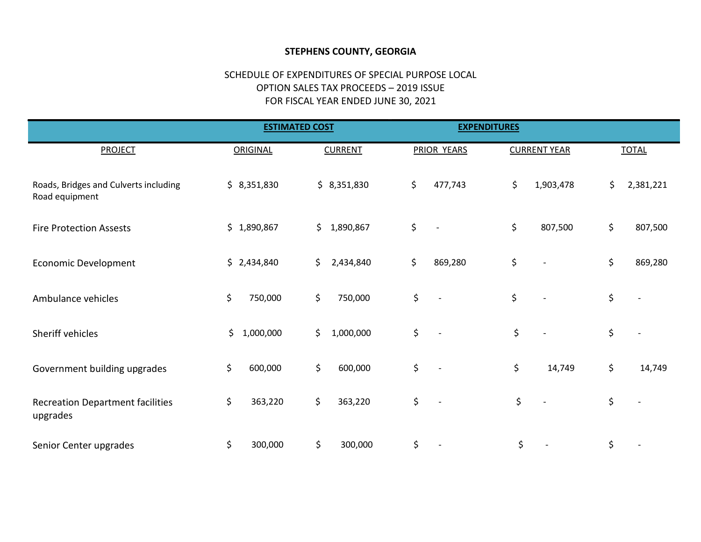## STEPHENS COUNTY, GEORGIA

## SCHEDULE OF EXPENDITURES OF SPECIAL PURPOSE LOCAL OPTION SALES TAX PROCEEDS – 2019 ISSUE FOR FISCAL YEAR ENDED JUNE 30, 2021

|                                                         | <b>ESTIMATED COST</b> |                 | <b>EXPENDITURES</b>            |                     |                 |
|---------------------------------------------------------|-----------------------|-----------------|--------------------------------|---------------------|-----------------|
| <b>PROJECT</b>                                          | ORIGINAL              | <b>CURRENT</b>  | PRIOR YEARS                    | <b>CURRENT YEAR</b> | <b>TOTAL</b>    |
| Roads, Bridges and Culverts including<br>Road equipment | \$8,351,830           | \$8,351,830     | \$<br>477,743                  | \$<br>1,903,478     | \$<br>2,381,221 |
| <b>Fire Protection Assests</b>                          | \$1,890,867           | \$<br>1,890,867 | \$<br>$\overline{\phantom{a}}$ | \$<br>807,500       | \$<br>807,500   |
| <b>Economic Development</b>                             | \$2,434,840           | \$<br>2,434,840 | \$<br>869,280                  | \$                  | \$<br>869,280   |
| Ambulance vehicles                                      | \$<br>750,000         | \$<br>750,000   | \$<br>$\overline{a}$           | \$                  | \$              |
| Sheriff vehicles                                        | \$<br>1,000,000       | \$<br>1,000,000 | \$<br>$\overline{a}$           | \$                  | \$              |
| Government building upgrades                            | \$<br>600,000         | \$<br>600,000   | \$<br>$\overline{a}$           | \$<br>14,749        | \$<br>14,749    |
| <b>Recreation Department facilities</b><br>upgrades     | \$<br>363,220         | \$<br>363,220   | \$<br>$\overline{\phantom{a}}$ | \$                  | \$              |
| Senior Center upgrades                                  | \$<br>300,000         | \$<br>300,000   | \$                             | \$                  | \$              |